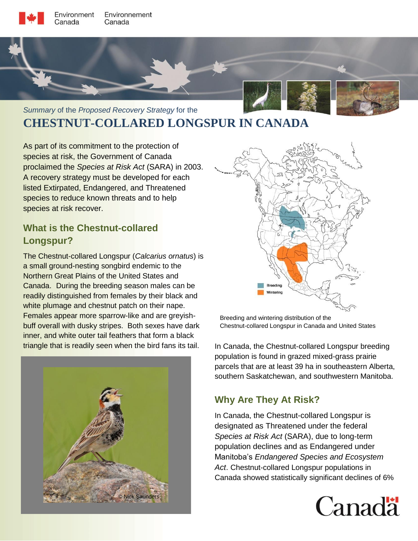



# *Summary* of the *Proposed Recovery Strategy* for the **CHESTNUT-COLLARED LONGSPUR IN CANADA**

As part of its commitment to the protection of species at risk, the Government of Canada proclaimed the *Species at Risk Act* (SARA) in 2003. A recovery strategy must be developed for each listed Extirpated, Endangered, and Threatened species to reduce known threats and to help species at risk recover.

# **What is the Chestnut-collared Longspur?**

The Chestnut-collared Longspur (*Calcarius ornatus*) is a small ground-nesting songbird endemic to the Northern Great Plains of the United States and Canada. During the breeding season males can be readily distinguished from females by their black and white plumage and chestnut patch on their nape. Females appear more sparrow-like and are greyishbuff overall with dusky stripes. Both sexes have dark inner, and white outer tail feathers that form a black triangle that is readily seen when the bird fans its tail. In Canada, the Chestnut-collared Longspur breeding





Breeding and wintering distribution of the Chestnut-collared Longspur in Canada and United States

population is found in grazed mixed-grass prairie parcels that are at least 39 ha in southeastern Alberta, southern Saskatchewan, and southwestern Manitoba.

# **Why Are They At Risk?**

In Canada, the Chestnut-collared Longspur is designated as Threatened under the federal *Species at Risk Act* (SARA), due to long-term population declines and as Endangered under Manitoba's *Endangered Species and Ecosystem Act*. Chestnut-collared Longspur populations in Canada showed statistically significant declines of 6%